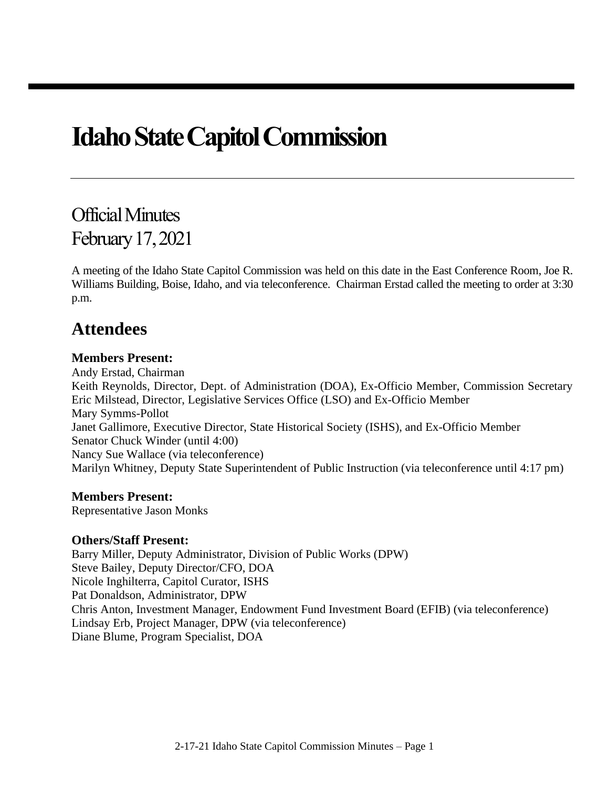# **Idaho State Capitol Commission**

# Official Minutes February 17, 2021

A meeting of the Idaho State Capitol Commission was held on this date in the East Conference Room, Joe R. Williams Building, Boise, Idaho, and via teleconference. Chairman Erstad called the meeting to order at 3:30 p.m.

# **Attendees**

#### **Members Present:**

Andy Erstad, Chairman Keith Reynolds, Director, Dept. of Administration (DOA), Ex-Officio Member, Commission Secretary Eric Milstead, Director, Legislative Services Office (LSO) and Ex-Officio Member Mary Symms-Pollot Janet Gallimore, Executive Director, State Historical Society (ISHS), and Ex-Officio Member Senator Chuck Winder (until 4:00) Nancy Sue Wallace (via teleconference) Marilyn Whitney, Deputy State Superintendent of Public Instruction (via teleconference until 4:17 pm)

#### **Members Present:**

Representative Jason Monks

#### **Others/Staff Present:**

Barry Miller, Deputy Administrator, Division of Public Works (DPW) Steve Bailey, Deputy Director/CFO, DOA Nicole Inghilterra, Capitol Curator, ISHS Pat Donaldson, Administrator, DPW Chris Anton, Investment Manager, Endowment Fund Investment Board (EFIB) (via teleconference) Lindsay Erb, Project Manager, DPW (via teleconference) Diane Blume, Program Specialist, DOA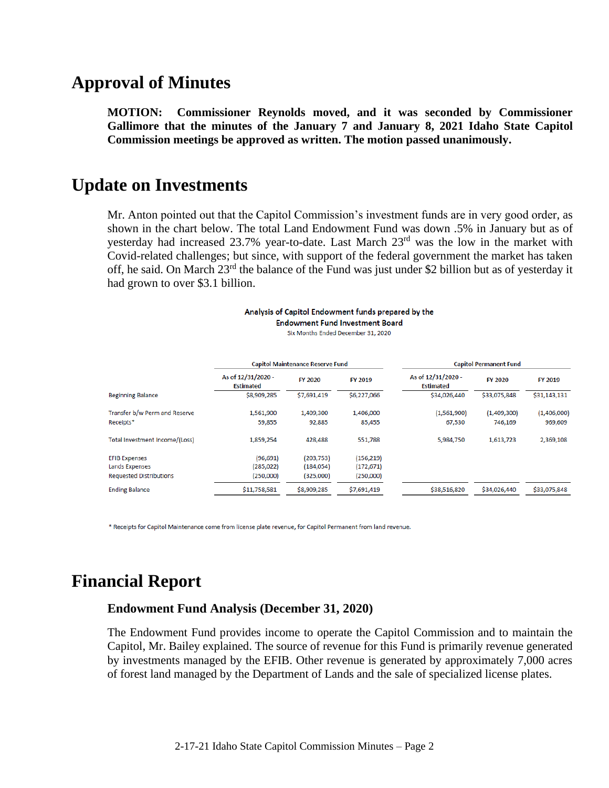# **Approval of Minutes**

**MOTION: Commissioner Reynolds moved, and it was seconded by Commissioner Gallimore that the minutes of the January 7 and January 8, 2021 Idaho State Capitol Commission meetings be approved as written. The motion passed unanimously.**

### **Update on Investments**

Mr. Anton pointed out that the Capitol Commission's investment funds are in very good order, as shown in the chart below. The total Land Endowment Fund was down .5% in January but as of yesterday had increased 23.7% year-to-date. Last March  $23<sup>rd</sup>$  was the low in the market with Covid-related challenges; but since, with support of the federal government the market has taken off, he said. On March 23<sup>rd</sup> the balance of the Fund was just under \$2 billion but as of yesterday it had grown to over \$3.1 billion.

> Analysis of Capitol Endowment funds prepared by the **Endowment Fund Investment Board** Six Months Ended December 31, 2020

|                                | <b>Capitol Maintenance Reserve Fund</b> |                |             | <b>Capitol Permanent Fund</b>          |                |              |
|--------------------------------|-----------------------------------------|----------------|-------------|----------------------------------------|----------------|--------------|
|                                | As of 12/31/2020 -<br><b>Estimated</b>  | <b>FY 2020</b> | FY 2019     | As of 12/31/2020 -<br><b>Estimated</b> | <b>FY 2020</b> | FY 2019      |
| <b>Beginning Balance</b>       | \$8,909,285                             | \$7,691,419    | \$6,227,066 | \$34,026,440                           | \$33,075,848   | \$31,143,131 |
| Transfer b/w Perm and Reserve  | 1,561,900                               | 1,409,300      | 1,406,000   | (1,561,900)                            | (1,409,300)    | (1,406,000)  |
| Receipts*                      | 59,855                                  | 92,885         | 85,455      | 67,530                                 | 746,169        | 969,609      |
| Total Investment Income/(Loss) | 1,859,254                               | 428,488        | 551,788     | 5,984,750                              | 1,613,723      | 2,369,108    |
| <b>EFIB Expenses</b>           | (96, 691)                               | (203, 753)     | (156, 219)  |                                        |                |              |
| Lands Expenses                 | (285, 022)                              | (184, 054)     | (172, 671)  |                                        |                |              |
| <b>Requested Distributions</b> | (250,000)                               | (325,000)      | (250,000)   |                                        |                |              |
| <b>Ending Balance</b>          | \$11,758,581                            | \$8,909,285    | \$7,691,419 | \$38,516,820                           | \$34,026,440   | \$33,075,848 |

\* Receipts for Capitol Maintenance come from license plate revenue, for Capitol Permanent from land revenue.

# **Financial Report**

#### **Endowment Fund Analysis (December 31, 2020)**

The Endowment Fund provides income to operate the Capitol Commission and to maintain the Capitol, Mr. Bailey explained. The source of revenue for this Fund is primarily revenue generated by investments managed by the EFIB. Other revenue is generated by approximately 7,000 acres of forest land managed by the Department of Lands and the sale of specialized license plates.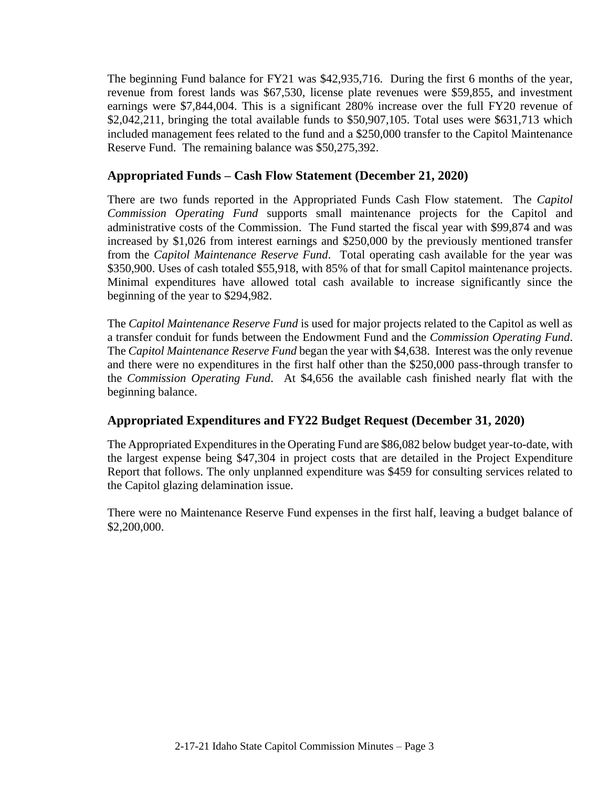The beginning Fund balance for FY21 was \$42,935,716. During the first 6 months of the year, revenue from forest lands was \$67,530, license plate revenues were \$59,855, and investment earnings were \$7,844,004. This is a significant 280% increase over the full FY20 revenue of \$2,042,211, bringing the total available funds to \$50,907,105. Total uses were \$631,713 which included management fees related to the fund and a \$250,000 transfer to the Capitol Maintenance Reserve Fund. The remaining balance was \$50,275,392.

#### **Appropriated Funds – Cash Flow Statement (December 21, 2020)**

There are two funds reported in the Appropriated Funds Cash Flow statement. The *Capitol Commission Operating Fund* supports small maintenance projects for the Capitol and administrative costs of the Commission. The Fund started the fiscal year with \$99,874 and was increased by \$1,026 from interest earnings and \$250,000 by the previously mentioned transfer from the *Capitol Maintenance Reserve Fund*. Total operating cash available for the year was \$350,900. Uses of cash totaled \$55,918, with 85% of that for small Capitol maintenance projects. Minimal expenditures have allowed total cash available to increase significantly since the beginning of the year to \$294,982.

The *Capitol Maintenance Reserve Fund* is used for major projects related to the Capitol as well as a transfer conduit for funds between the Endowment Fund and the *Commission Operating Fund*. The *Capitol Maintenance Reserve Fund* began the year with \$4,638. Interest was the only revenue and there were no expenditures in the first half other than the \$250,000 pass-through transfer to the *Commission Operating Fund*. At \$4,656 the available cash finished nearly flat with the beginning balance.

#### **Appropriated Expenditures and FY22 Budget Request (December 31, 2020)**

The Appropriated Expenditures in the Operating Fund are \$86,082 below budget year-to-date, with the largest expense being \$47,304 in project costs that are detailed in the Project Expenditure Report that follows. The only unplanned expenditure was \$459 for consulting services related to the Capitol glazing delamination issue.

There were no Maintenance Reserve Fund expenses in the first half, leaving a budget balance of \$2,200,000.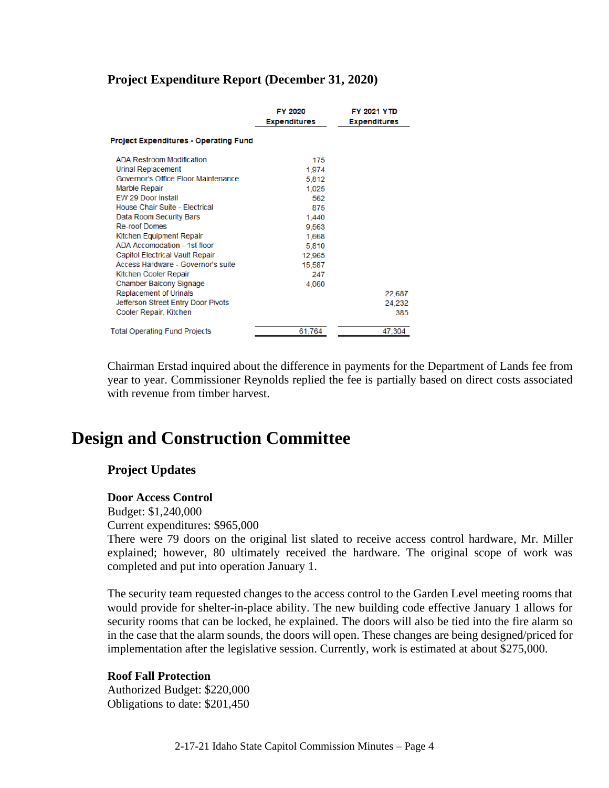#### **Project Expenditure Report (December 31, 2020)**

|                                              | FY 2020<br><b>Expenditures</b> | <b>FY 2021 YTD</b><br><b>Expenditures</b> |  |
|----------------------------------------------|--------------------------------|-------------------------------------------|--|
| <b>Project Expenditures - Operating Fund</b> |                                |                                           |  |
| <b>ADA Restroom Modification</b>             | 175                            |                                           |  |
| <b>Urinal Replacement</b>                    | 1.974                          |                                           |  |
| Governor's Office Floor Maintenance          | 5.812                          |                                           |  |
| <b>Marble Repair</b>                         | 1,025                          |                                           |  |
| <b>EW 29 Door Install</b>                    | 562                            |                                           |  |
| House Chair Suite - Electrical               | 875                            |                                           |  |
| Data Room Security Bars                      | 1.440                          |                                           |  |
| <b>Re-roof Domes</b>                         | 9.563                          |                                           |  |
| Kitchen Equipment Repair                     | 1.668                          |                                           |  |
| ADA Accomodation - 1st floor                 | 5,810                          |                                           |  |
| <b>Capitol Electrical Vault Repair</b>       | 12,965                         |                                           |  |
| Access Hardware - Governor's suite           | 15,587                         |                                           |  |
| Kitchen Cooler Repair                        | 247                            |                                           |  |
| <b>Chamber Balcony Signage</b>               | 4.060                          |                                           |  |
| <b>Replacement of Urinals</b>                |                                | 22,687                                    |  |
| Jefferson Street Entry Door Pivots           |                                | 24,232                                    |  |
| Cooler Repair, Kitchen                       |                                | 385                                       |  |
| <b>Total Operating Fund Projects</b>         | 61.764                         | 47,304                                    |  |

Chairman Erstad inquired about the difference in payments for the Department of Lands fee from year to year. Commissioner Reynolds replied the fee is partially based on direct costs associated with revenue from timber harvest.

# **Design and Construction Committee**

#### **Project Updates**

#### **Door Access Control**

Budget: \$1,240,000

Current expenditures: \$965,000

There were 79 doors on the original list slated to receive access control hardware, Mr. Miller explained; however, 80 ultimately received the hardware. The original scope of work was completed and put into operation January 1.

The security team requested changes to the access control to the Garden Level meeting rooms that would provide for shelter-in-place ability. The new building code effective January 1 allows for security rooms that can be locked, he explained. The doors will also be tied into the fire alarm so in the case that the alarm sounds, the doors will open. These changes are being designed/priced for implementation after the legislative session. Currently, work is estimated at about \$275,000.

#### **Roof Fall Protection**

Authorized Budget: \$220,000 Obligations to date: \$201,450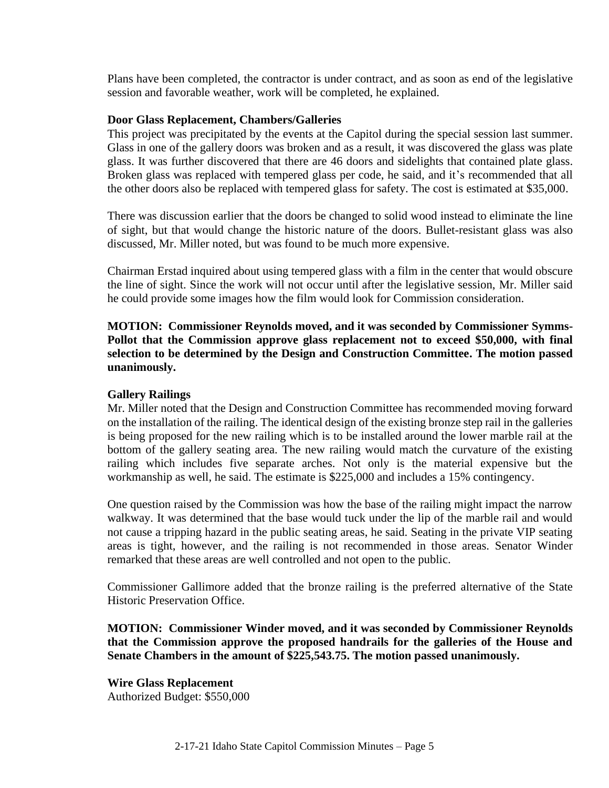Plans have been completed, the contractor is under contract, and as soon as end of the legislative session and favorable weather, work will be completed, he explained.

#### **Door Glass Replacement, Chambers/Galleries**

This project was precipitated by the events at the Capitol during the special session last summer. Glass in one of the gallery doors was broken and as a result, it was discovered the glass was plate glass. It was further discovered that there are 46 doors and sidelights that contained plate glass. Broken glass was replaced with tempered glass per code, he said, and it's recommended that all the other doors also be replaced with tempered glass for safety. The cost is estimated at \$35,000.

There was discussion earlier that the doors be changed to solid wood instead to eliminate the line of sight, but that would change the historic nature of the doors. Bullet-resistant glass was also discussed, Mr. Miller noted, but was found to be much more expensive.

Chairman Erstad inquired about using tempered glass with a film in the center that would obscure the line of sight. Since the work will not occur until after the legislative session, Mr. Miller said he could provide some images how the film would look for Commission consideration.

**MOTION: Commissioner Reynolds moved, and it was seconded by Commissioner Symms-Pollot that the Commission approve glass replacement not to exceed \$50,000, with final selection to be determined by the Design and Construction Committee. The motion passed unanimously.**

#### **Gallery Railings**

Mr. Miller noted that the Design and Construction Committee has recommended moving forward on the installation of the railing. The identical design of the existing bronze step rail in the galleries is being proposed for the new railing which is to be installed around the lower marble rail at the bottom of the gallery seating area. The new railing would match the curvature of the existing railing which includes five separate arches. Not only is the material expensive but the workmanship as well, he said. The estimate is \$225,000 and includes a 15% contingency.

One question raised by the Commission was how the base of the railing might impact the narrow walkway. It was determined that the base would tuck under the lip of the marble rail and would not cause a tripping hazard in the public seating areas, he said. Seating in the private VIP seating areas is tight, however, and the railing is not recommended in those areas. Senator Winder remarked that these areas are well controlled and not open to the public.

Commissioner Gallimore added that the bronze railing is the preferred alternative of the State Historic Preservation Office.

**MOTION: Commissioner Winder moved, and it was seconded by Commissioner Reynolds that the Commission approve the proposed handrails for the galleries of the House and Senate Chambers in the amount of \$225,543.75. The motion passed unanimously.**

**Wire Glass Replacement** Authorized Budget: \$550,000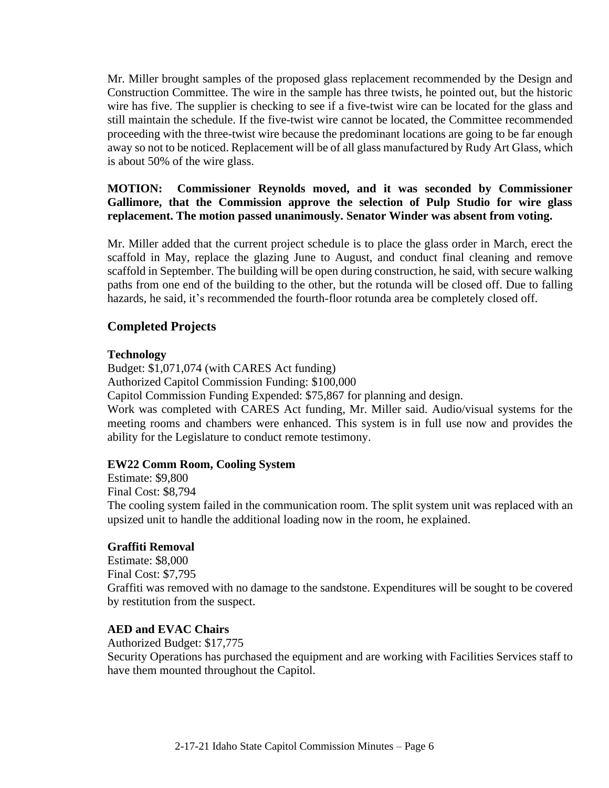Mr. Miller brought samples of the proposed glass replacement recommended by the Design and Construction Committee. The wire in the sample has three twists, he pointed out, but the historic wire has five. The supplier is checking to see if a five-twist wire can be located for the glass and still maintain the schedule. If the five-twist wire cannot be located, the Committee recommended proceeding with the three-twist wire because the predominant locations are going to be far enough away so not to be noticed. Replacement will be of all glass manufactured by Rudy Art Glass, which is about 50% of the wire glass.

**MOTION: Commissioner Reynolds moved, and it was seconded by Commissioner Gallimore, that the Commission approve the selection of Pulp Studio for wire glass replacement. The motion passed unanimously. Senator Winder was absent from voting.**

Mr. Miller added that the current project schedule is to place the glass order in March, erect the scaffold in May, replace the glazing June to August, and conduct final cleaning and remove scaffold in September. The building will be open during construction, he said, with secure walking paths from one end of the building to the other, but the rotunda will be closed off. Due to falling hazards, he said, it's recommended the fourth-floor rotunda area be completely closed off.

#### **Completed Projects**

#### **Technology**

Budget: \$1,071,074 (with CARES Act funding) Authorized Capitol Commission Funding: \$100,000 Capitol Commission Funding Expended: \$75,867 for planning and design. Work was completed with CARES Act funding, Mr. Miller said. Audio/visual systems for the meeting rooms and chambers were enhanced. This system is in full use now and provides the

#### **EW22 Comm Room, Cooling System**

ability for the Legislature to conduct remote testimony.

Estimate: \$9,800 Final Cost: \$8,794 The cooling system failed in the communication room. The split system unit was replaced with an upsized unit to handle the additional loading now in the room, he explained.

#### **Graffiti Removal**

Estimate: \$8,000 Final Cost: \$7,795 Graffiti was removed with no damage to the sandstone. Expenditures will be sought to be covered by restitution from the suspect.

#### **AED and EVAC Chairs**

Authorized Budget: \$17,775 Security Operations has purchased the equipment and are working with Facilities Services staff to have them mounted throughout the Capitol.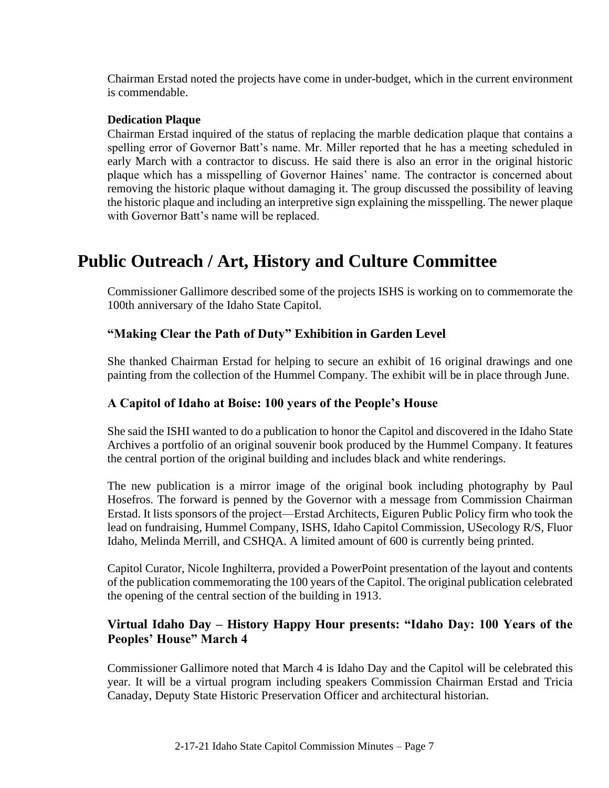Chairman Erstad noted the projects have come in under-budget, which in the current environment is commendable.

#### **Dedication Plaque**

Chairman Erstad inquired of the status of replacing the marble dedication plaque that contains a spelling error of Governor Batt's name. Mr. Miller reported that he has a meeting scheduled in early March with a contractor to discuss. He said there is also an error in the original historic plaque which has a misspelling of Governor Haines' name. The contractor is concerned about removing the historic plaque without damaging it. The group discussed the possibility of leaving the historic plaque and including an interpretive sign explaining the misspelling. The newer plaque with Governor Batt's name will be replaced.

# **Public Outreach / Art, History and Culture Committee**

Commissioner Gallimore described some of the projects ISHS is working on to commemorate the 100th anniversary of the Idaho State Capitol.

#### **"Making Clear the Path of Duty" Exhibition in Garden Level**

She thanked Chairman Erstad for helping to secure an exhibit of 16 original drawings and one painting from the collection of the Hummel Company. The exhibit will be in place through June.

#### **A Capitol of Idaho at Boise: 100 years of the People's House**

She said the ISHI wanted to do a publication to honor the Capitol and discovered in the Idaho State Archives a portfolio of an original souvenir book produced by the Hummel Company. It features the central portion of the original building and includes black and white renderings.

The new publication is a mirror image of the original book including photography by Paul Hosefros. The forward is penned by the Governor with a message from Commission Chairman Erstad. It lists sponsors of the project—Erstad Architects, Eiguren Public Policy firm who took the lead on fundraising, Hummel Company, ISHS, Idaho Capitol Commission, USecology R/S, Fluor Idaho, Melinda Merrill, and CSHQA. A limited amount of 600 is currently being printed.

Capitol Curator, Nicole Inghilterra, provided a PowerPoint presentation of the layout and contents of the publication commemorating the 100 years of the Capitol. The original publication celebrated the opening of the central section of the building in 1913.

#### **Virtual Idaho Day – History Happy Hour presents: "Idaho Day: 100 Years of the Peoples' House" March 4**

Commissioner Gallimore noted that March 4 is Idaho Day and the Capitol will be celebrated this year. It will be a virtual program including speakers Commission Chairman Erstad and Tricia Canaday, Deputy State Historic Preservation Officer and architectural historian.